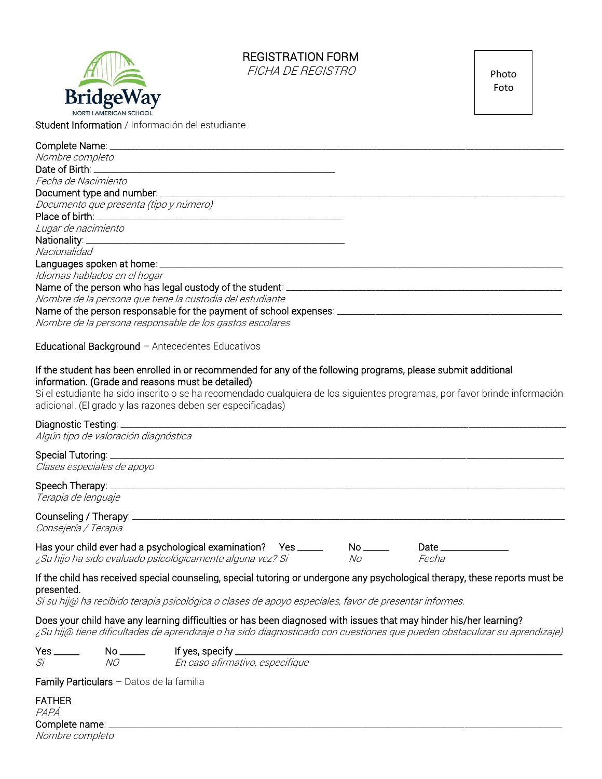# REGISTRATION FORM

FICHA DE REGISTRO



Photo Foto

Student Information / Información del estudiante

| Nombre completo                                                                                                                                                     |
|---------------------------------------------------------------------------------------------------------------------------------------------------------------------|
|                                                                                                                                                                     |
| Fecha de Nacimiento                                                                                                                                                 |
| Document type and number: ____________                                                                                                                              |
| Documento que presenta (tipo y número)                                                                                                                              |
|                                                                                                                                                                     |
| Lugar de nacimiento                                                                                                                                                 |
|                                                                                                                                                                     |
| Nacionalidad                                                                                                                                                        |
|                                                                                                                                                                     |
| Idiomas hablados en el hogar                                                                                                                                        |
| Name of the person who has legal custody of the student: _______________________                                                                                    |
| Nombre de la persona que tiene la custodia del estudiante                                                                                                           |
| Name of the person responsable for the payment of school expenses: _________________________________                                                                |
| Nombre de la persona responsable de los gastos escolares                                                                                                            |
| Educational Background $-$ Antecedentes Educativos                                                                                                                  |
| If the student has been enrolled in or recommended for any of the following programs, please submit additional<br>information. (Grade and reasons must be detailed) |
| Si el estudiante ha sido inscrito o se ha recomendado cualquiera de los siguientes programas, por favor brinde información                                          |

Si el estudiante ha sido inscrito o se ha recomendado cualquiera de los siguientes programas, por favor brinde información adicional. (El grado y las razones deben ser especificadas)

#### Diagnostic Testing:

Algún tipo de valoración diagnóstica

#### Special Tutoring:

Clases especiales de apoyo

## Speech Therapy:

Terapia de lenguaje

# Counseling / Therapy:

Consejería / Terapia

| Has your child ever had a psychological examination? Yes _____ |    | Date  |
|----------------------------------------------------------------|----|-------|
| ¿Su hijo ha sido evaluado psicológicamente alguna vez? Si      | Nο | Fecha |

### If the child has received special counseling, special tutoring or undergone any psychological therapy, these reports must be presented.

Si su hij@ ha recibido terapia psicológica o clases de apoyo especiales, favor de presentar informes.

### Does your child have any learning difficulties or has been diagnosed with issues that may hinder his/her learning?

¿Su hij@ tiene dificultades de aprendizaje o ha sido diagnosticado con cuestiones que pueden obstaculizar su aprendizaje)

| Yes | Nc | 't yes, specity _               |
|-----|----|---------------------------------|
| Si  | NC | En caso afirmativo, especifique |

Family Particulars – Datos de la familia